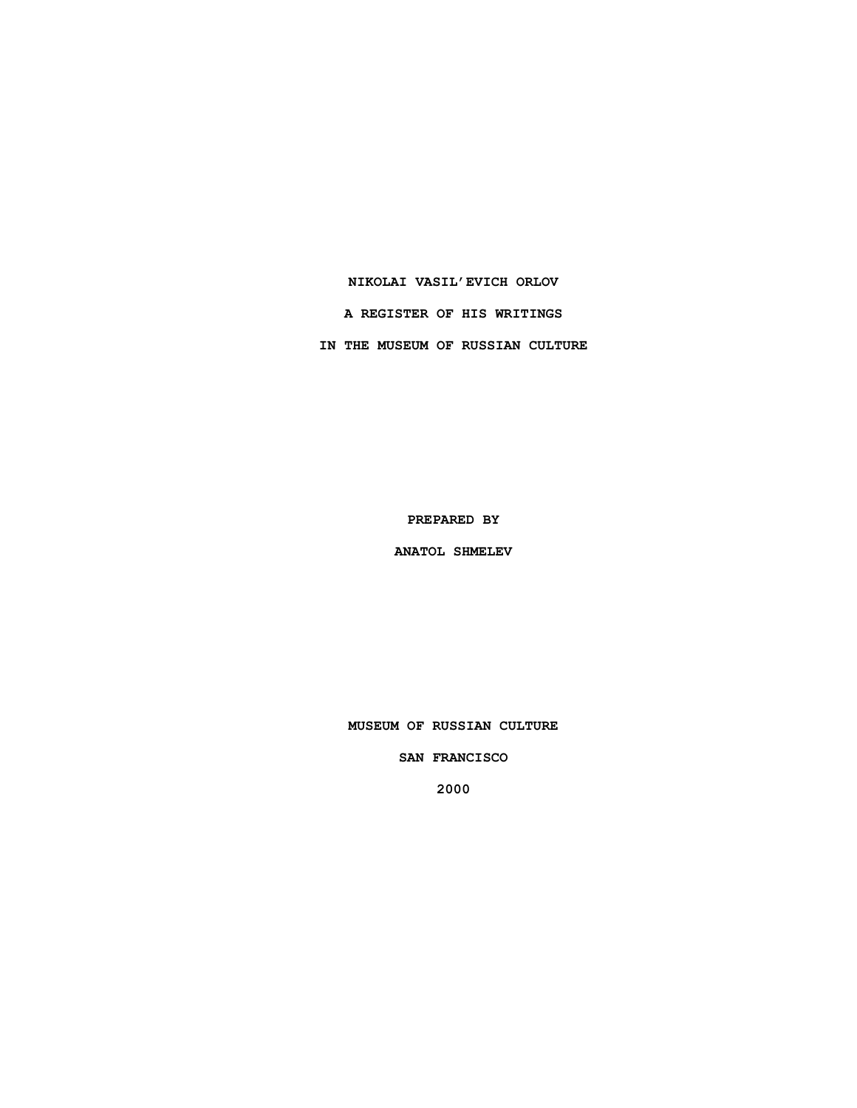# **NIKOLAI VASIL'EVICH ORLOV**

**A REGISTER OF HIS WRITINGS**

**IN THE MUSEUM OF RUSSIAN CULTURE**

**PREPARED BY**

**ANATOL SHMELEV**

**MUSEUM OF RUSSIAN CULTURE**

**SAN FRANCISCO**

**2000**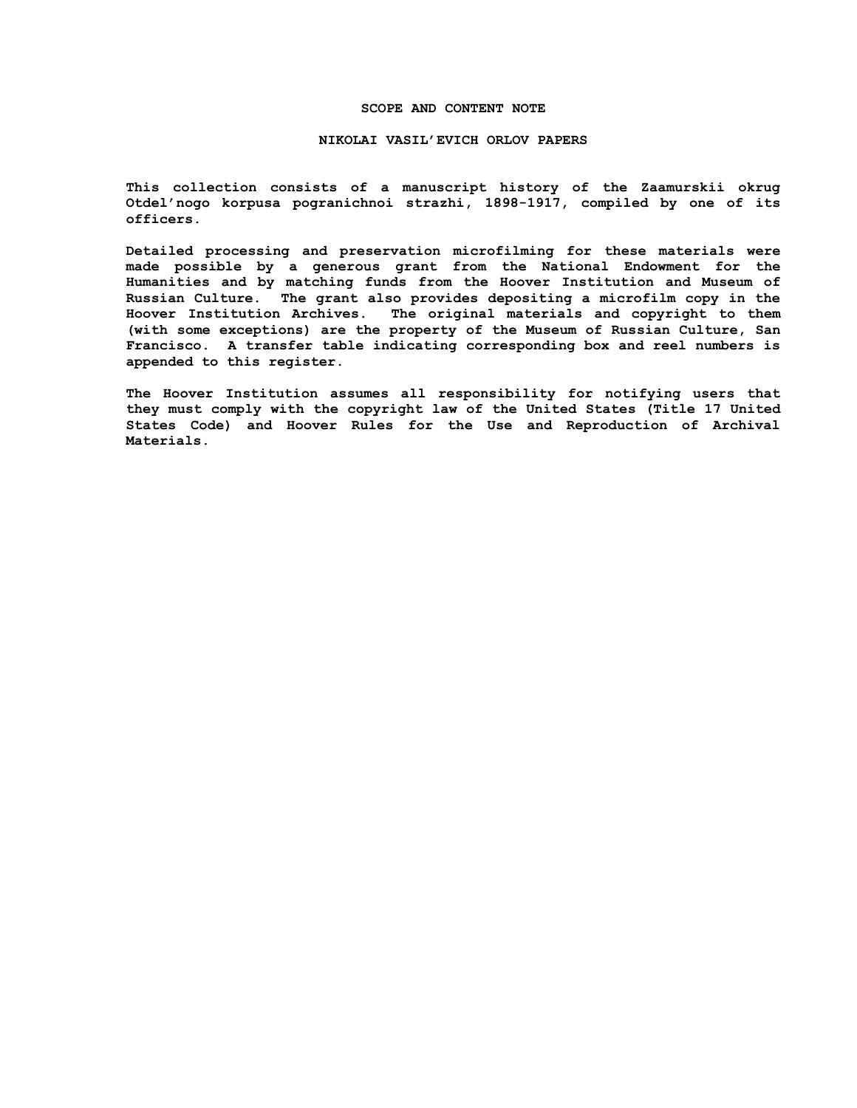### **SCOPE AND CONTENT NOTE**

#### **NIKOLAI VASIL'EVICH ORLOV PAPERS**

**This collection consists of a manuscript history of the Zaamurskii okrug Otdel'nogo korpusa pogranichnoi strazhi, 1898-1917, compiled by one of its officers.**

**Detailed processing and preservation microfilming for these materials were made possible by a generous grant from the National Endowment for the Humanities and by matching funds from the Hoover Institution and Museum of Russian Culture. The grant also provides depositing a microfilm copy in the Hoover Institution Archives. The original materials and copyright to them (with some exceptions) are the property of the Museum of Russian Culture, San Francisco. A transfer table indicating corresponding box and reel numbers is appended to this register.**

**The Hoover Institution assumes all responsibility for notifying users that they must comply with the copyright law of the United States (Title 17 United States Code) and Hoover Rules for the Use and Reproduction of Archival Materials.**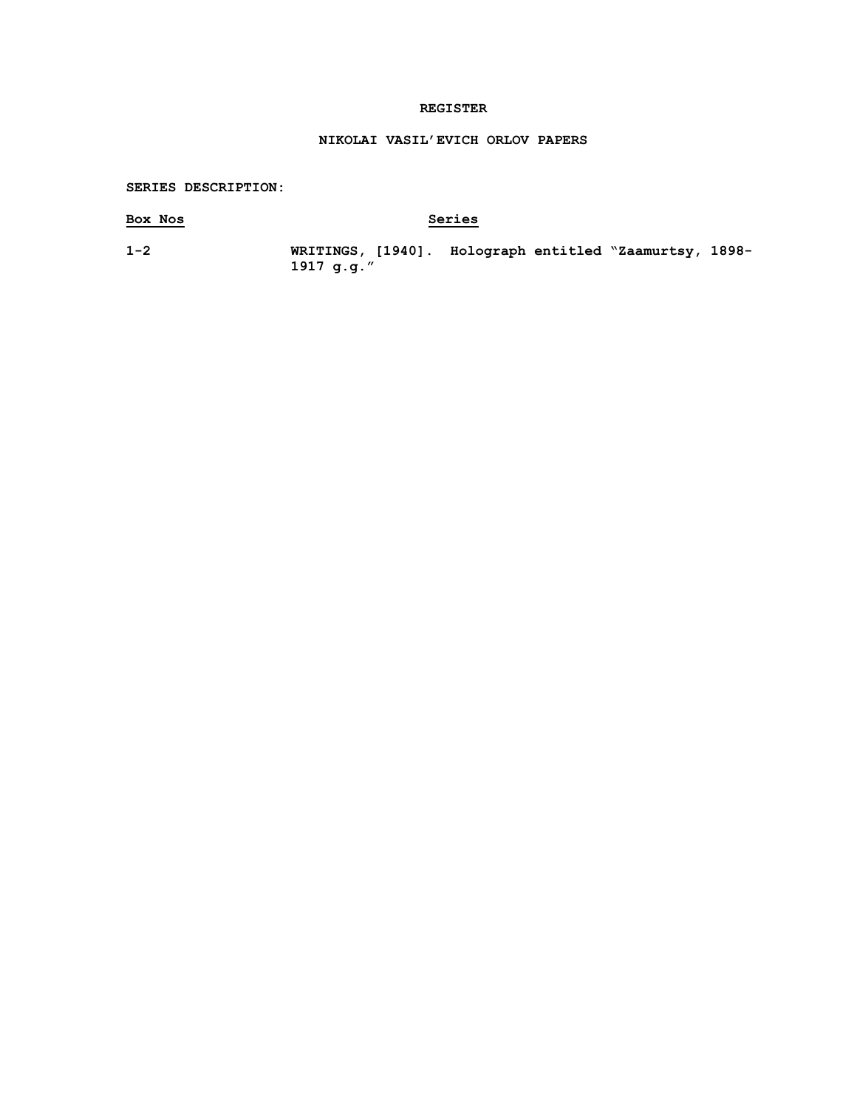## **REGISTER**

# **NIKOLAI VASIL'EVICH ORLOV PAPERS**

## **SERIES DESCRIPTION:**

# **Box Nos Series**

**1-2 WRITINGS, [1940]. Holograph entitled "Zaamurtsy, 1898- 1917 g.g."**